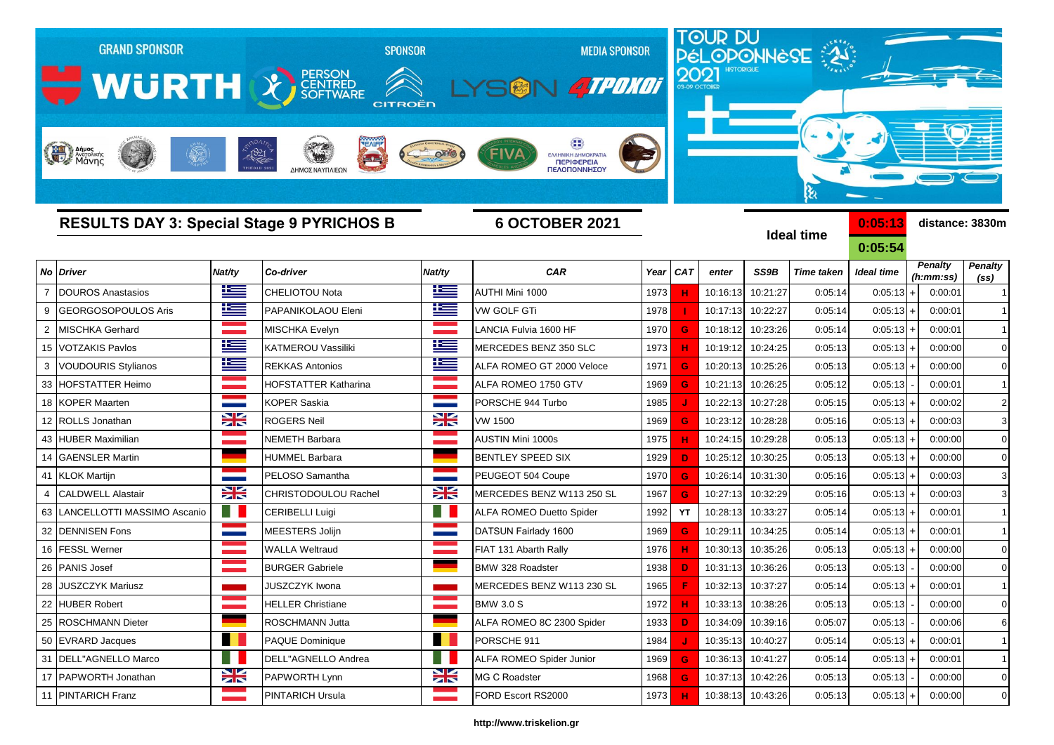| <b>GRAND SPONSOR</b><br>WURTH X SCRITTRED<br>Anipos |           | 1821<br>$\overline{\phantom{a}}$<br>ΔΗΜΟΣ ΝΑΥΠΛΙΕΩΝ | <b>SPONSOR</b><br>CITROËN | <b>MEDIA SPONSOR</b><br><b>ATPONOT</b><br>ΕΛΛΗΝΙΚΗ ΔΗΜΟΚΡΑΤΙΑ<br>ΠΕΡΙΦΕΡΕΙΑ<br>ΠΕΛΟΠΟΝΝΗΣΟΥ |      |            |          |                   | TOUR DU<br>PÉLOPONNESE<br>કે |                    |                             |                                     |
|-----------------------------------------------------|-----------|-----------------------------------------------------|---------------------------|---------------------------------------------------------------------------------------------|------|------------|----------|-------------------|------------------------------|--------------------|-----------------------------|-------------------------------------|
| <b>RESULTS DAY 3: Special Stage 9 PYRICHOS B</b>    |           |                                                     |                           | <b>6 OCTOBER 2021</b>                                                                       |      |            |          |                   | <b>Ideal time</b>            | 0:05:13<br>0:05:54 | distance: 3830m             |                                     |
| <b>Driver</b><br>No                                 | Nat/ty    | Co-driver                                           | Nat/ty                    | <b>CAR</b>                                                                                  | Year | <b>CAT</b> | enter    | SS9B              | <b>Time taken</b>            | <b>Ideal time</b>  | <b>Penalty</b><br>(h:mm:ss) | <b>Penalty</b><br>(s <sub>s</sub> ) |
| <b>DOUROS Anastasios</b>                            | <u>r </u> | <b>CHELIOTOU Nota</b>                               | Ľ                         | AUTHI Mini 1000                                                                             | 1973 |            | 10:16:13 | 10:21:27          | 0:05:14                      | $0:05:13$ +        | 0:00:01                     |                                     |
| <b>GEORGOSOPOULOS Aris</b><br>9                     | 些         | PAPANIKOLAOU Eleni                                  | <u>ik –</u>               | <b>VW GOLF GTi</b>                                                                          | 1978 |            | 10:17:13 | 10:22:27          | 0:05:14                      | 0:05:13            | 0:00:01                     |                                     |
| <b>MISCHKA Gerhard</b><br>2                         |           | <b>MISCHKA Evelyn</b>                               |                           | ANCIA Fulvia 1600 HF                                                                        | 1970 | G          | 10:18:12 | 10:23:26          | 0:05:14                      | $0:05:13$ +        | 0:00:01                     |                                     |
| <b>VOTZAKIS Pavlos</b><br>15                        | <u>k </u> | KATMEROU Vassiliki                                  | <u>is </u>                | MERCEDES BENZ 350 SLC                                                                       | 1973 |            | 10:19:12 | 10:24:25          | 0:05:13                      | $0:05:13$ +        | 0:00:00                     | $\Omega$                            |
| <b>VOUDOURIS Stylianos</b>                          | Ħ         | <b>REKKAS Antonios</b>                              | ٢                         | ALFA ROMEO GT 2000 Veloce                                                                   | 1971 | G          | 10:20:13 | 10:25:26          | 0:05:13                      | $0:05:13$ +        | 0:00:00                     | $\Omega$                            |
| <b>HOFSTATTER Heimo</b><br>33                       |           | HOFSTATTER Katharina                                |                           | ALFA ROMEO 1750 GTV                                                                         | 1969 | G          | 10:21:13 | 10:26:25          | 0:05:12                      | 0:05:13            | 0:00:01                     |                                     |
| <b>KOPER Maarten</b><br>18                          |           | <b>KOPER Saskia</b>                                 |                           | PORSCHE 944 Turbo                                                                           | 1985 |            | 10:22:13 | 10:27:28          | 0:05:15                      | $0:05:13+$         | 0:00:02                     | $\overline{2}$                      |
| 12 ROLLS Jonathan                                   | ∺         | <b>ROGERS Neil</b>                                  | <b>XK</b>                 | <b>VW 1500</b>                                                                              | 1969 | G          | 10:23:12 | 10:28:28          | 0:05:16                      | $0:05:13 +$        | 0:00:03                     | 3                                   |
| <b>HUBER Maximilian</b><br>43                       |           | NEMETH Barbara                                      |                           | <b>AUSTIN Mini 1000s</b>                                                                    | 1975 |            | 10:24:15 | 10:29:28          | 0:05:13                      | $0:05:13$ +        | 0:00:00                     | $\Omega$                            |
| <b>GAENSLER Martin</b><br>14                        |           | HUMMEL Barbara                                      |                           | <b>BENTLEY SPEED SIX</b>                                                                    | 1929 |            | 10:25:12 | 10:30:25          | 0:05:13                      | $0:05:13$ +        | 0:00:00                     | $\Omega$                            |
| <b>KLOK Martijn</b><br>41                           |           | PELOSO Samantha                                     |                           | PEUGEOT 504 Coupe                                                                           | 1970 | G          | 10:26:14 | 10:31:30          | 0:05:16                      | $0:05:13$ +        | 0:00:03                     |                                     |
| <b>CALDWELL Alastair</b>                            | X         | CHRISTODOULOU Rachel                                | X                         | MERCEDES BENZ W113 250 SL                                                                   | 1967 | G          | 10:27:13 | 10:32:29          | 0:05:16                      | $0:05:13$ +        | 0:00:03                     | 3                                   |
| LANCELLOTTI MASSIMO Ascanio<br>63                   | . .       | CERIBELLI Luigi                                     |                           | <b>ALFA ROMEO Duetto Spider</b>                                                             | 1992 | YT         | 10:28:13 | 10:33:27          | 0:05:14                      | $0:05:13$ +        | 0:00:01                     |                                     |
| <b>DENNISEN Fons</b><br>32                          |           | MEESTERS Jolijn                                     |                           | DATSUN Fairlady 1600                                                                        | 1969 | G          | 10:29:11 | 10:34:25          | 0:05:14                      | 0:05:13            | 0:00:01                     |                                     |
| <b>FESSL Werner</b><br>16                           |           | <b>WALLA Weltraud</b>                               |                           | FIAT 131 Abarth Rally                                                                       | 1976 |            | 10:30:13 | 10:35:26          | 0:05:13                      | $0:05:13 +$        | 0:00:00                     | $\Omega$                            |
| 26<br><b>PANIS Josef</b>                            |           | <b>BURGER Gabriele</b>                              |                           | BMW 328 Roadster                                                                            | 1938 | D          | 10:31:13 | 10:36:26          | 0:05:13                      | 0:05:13            | 0:00:00                     | $\Omega$                            |
| 28 JUSZCZYK Mariusz                                 |           | JUSZCZYK Iwona                                      |                           | MERCEDES BENZ W113 230 SL                                                                   | 1965 |            |          | 10:32:13 10:37:27 | 0:05:14                      | $0:05:13 +$        | 0:00:01                     |                                     |
| 22 HUBER Robert                                     |           | <b>HELLER Christiane</b>                            |                           | <b>BMW 3.0 S</b>                                                                            | 1972 |            |          | 10:33:13 10:38:26 | 0:05:13                      | 0:05:13            | 0:00:00                     | $\mathbf 0$                         |
| 25 ROSCHMANN Dieter                                 |           | ROSCHMANN Jutta                                     |                           | ALFA ROMEO 8C 2300 Spider                                                                   | 1933 | D          |          | 10:34:09 10:39:16 | 0:05:07                      | 0:05:13            | 0:00:06                     | 6                                   |
| 50 EVRARD Jacques                                   |           | <b>PAQUE Dominique</b>                              | . .                       | PORSCHE 911                                                                                 | 1984 |            |          | 10:35:13 10:40:27 | 0:05:14                      | $0:05:13$ +        | 0:00:01                     |                                     |
| 31   DELL"AGNELLO Marco                             | - 1       | DELL"AGNELLO Andrea                                 | T I                       | ALFA ROMEO Spider Junior                                                                    | 1969 | G          |          | 10:36:13 10:41:27 | 0:05:14                      | $0:05:13+$         | 0:00:01                     | -1                                  |
| 17 PAPWORTH Jonathan                                | 23        | PAPWORTH Lynn                                       | <b>XK</b>                 | MG C Roadster                                                                               | 1968 | G          |          | 10:37:13 10:42:26 | 0:05:13                      | 0:05:13            | 0:00:00                     | $\mathbf 0$                         |

## **http://www.triskelion.gr**

PINTARICH Franz PINTARICH Ursula FORD Escort RS2000 1973 **H** 10:38:13 10:43:26 0:05:13 0:05:13 + 0:00:00 0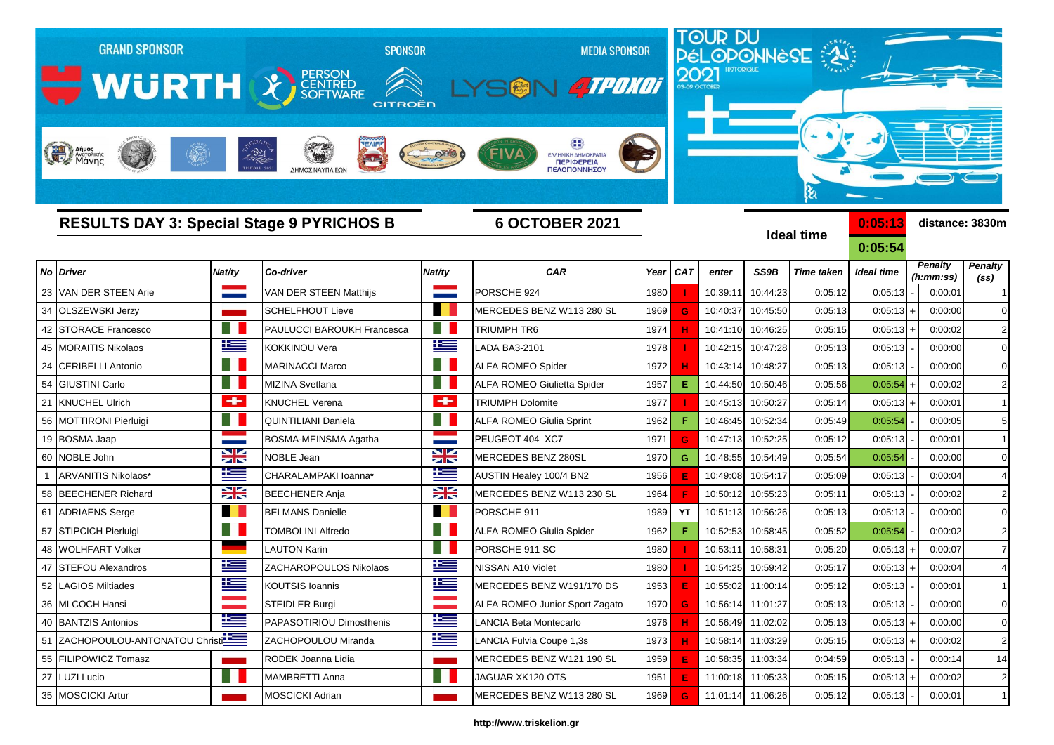| <b>GRAND SPONSOR</b><br>WURTH & FERSON<br>Anjues<br>Mary Aversiking |            | <b>SPONSOR</b><br><b>CITROËN</b><br>$-1821$<br>$\rightarrow$<br>ΔΗΜΟΣ ΝΑΥΠΛΙΕΩΝ |                 | <b>MEDIA SPONSOR</b><br><b>ATPONOT</b><br>FIVA<br>ΕΛΛΗΝΙΚΗ ΔΗΜΟΚΡΑΤΙ.<br>ΠΕΡΙΦΕΡΕΙΑ<br>ΠΕΛΟΠΟΝΝΗΣΟΥ |      |            | 2021              |                   | TOUR DU<br>PÉLOPONNESE<br>દિ |                   |                |                 |
|---------------------------------------------------------------------|------------|---------------------------------------------------------------------------------|-----------------|-----------------------------------------------------------------------------------------------------|------|------------|-------------------|-------------------|------------------------------|-------------------|----------------|-----------------|
|                                                                     |            | <b>RESULTS DAY 3: Special Stage 9 PYRICHOS B</b>                                |                 | <b>6 OCTOBER 2021</b>                                                                               |      |            |                   |                   | <b>Ideal time</b>            | 0:05:13           |                | distance: 3830m |
|                                                                     |            |                                                                                 |                 |                                                                                                     |      |            |                   |                   |                              | 0:05:54           | <b>Penalty</b> | <b>Penalty</b>  |
| <b>Driver</b><br>No                                                 | Nat/ty     | Co-driver                                                                       | Nat/ty          | <b>CAR</b>                                                                                          | Year | <b>CAT</b> | enter             | SS9B              | <b>Time taken</b>            | <b>Ideal time</b> | (h:mm:ss)      | (SS)            |
| VAN DER STEEN Arie<br>23                                            |            | VAN DER STEEN Matthijs                                                          |                 | PORSCHE 924                                                                                         | 1980 |            | 10:39:11          | 10:44:23          | 0:05:12                      | 0:05:13           | 0:00:01        | $\mathbf{1}$    |
| <b>OLSZEWSKI Jerzy</b><br>34                                        |            | <b>SCHELFHOUT Lieve</b>                                                         |                 | MERCEDES BENZ W113 280 SL                                                                           | 1969 | G          | 10:40:37          | 10:45:50          | 0:05:13                      | 0:05:13           | 0:00:00        | $\mathbf 0$     |
| <b>STORACE Francesco</b><br>42                                      |            | <b>PAULUCCI BAROUKH Francesca</b>                                               | <b>A</b>        | TRIUMPH TR6                                                                                         | 1974 |            | 10:41:10          | 10:46:25          | 0:05:15                      | $0:05:13+$        | 0:00:02        | $\overline{2}$  |
| <b>MORAITIS Nikolaos</b><br>45                                      | ١Œ         | <b>KOKKINOU Vera</b>                                                            | ĥ               | LADA BA3-2101                                                                                       | 1978 |            | 10:42:15          | 10:47:28          | 0:05:13                      | 0:05:13           | 0:00:00        | $\Omega$        |
| <b>CERIBELLI Antonio</b><br>24                                      | - 11       | <b>MARINACCI Marco</b>                                                          | Ħ               | <b>ALFA ROMEO Spider</b>                                                                            | 1972 |            | 10:43:14          | 10:48:27          | 0:05:13                      | 0:05:13           | 0:00:00        | $\mathbf 0$     |
| <b>GIUSTINI Carlo</b><br>54                                         |            | <b>MIZINA Svetlana</b>                                                          |                 | <b>ALFA ROMEO Giulietta Spider</b>                                                                  | 1957 | E.         | 10:44:50          | 10:50:46          | 0:05:56                      | 0:05:54           | 0:00:02        | $\overline{2}$  |
| 21<br><b>KNUCHEL Ulrich</b>                                         | ÷          | <b>KNUCHEL Verena</b>                                                           | ÷               | <b>TRIUMPH Dolomite</b>                                                                             | 1977 |            | 10:45:13          | 10:50:27          | 0:05:14                      | 0:05:13           | 0:00:01        |                 |
| 56 MOTTIRONI Pierluigi                                              |            | <b>QUINTILIANI Daniela</b>                                                      | FR.             | <b>ALFA ROMEO Giulia Sprint</b>                                                                     | 1962 | F.         | 10:46:45          | 10:52:34          | 0:05:49                      | 0:05:54           | 0:00:05        | 5               |
| 19<br><b>BOSMA Jaap</b>                                             |            | <b>BOSMA-MEINSMA Agatha</b>                                                     | <b>Contract</b> | PEUGEOT 404 XC7                                                                                     | 1971 | G          | 10:47:13          | 10:52:25          | 0:05:12                      | 0:05:13           | 0:00:01        |                 |
| NOBLE John<br>60                                                    | X          | NOBLE Jean                                                                      | ≍               | MERCEDES BENZ 280SL                                                                                 | 1970 | G          | 10:48:55          | 10:54:49          | 0:05:54                      | 0:05:54           | 0:00:00        | $\mathbf 0$     |
| ARVANITIS Nikolaos*                                                 | E          | CHARALAMPAKI Ioanna*                                                            | Ë               | AUSTIN Healey 100/4 BN2                                                                             | 1956 | E          | 10:49:08          | 10:54:17          | 0:05:09                      | 0:05:13           | 0:00:04        |                 |
| 58 BEECHENER Richard                                                | X          | <b>BEECHENER Anja</b>                                                           | X               | MERCEDES BENZ W113 230 SL                                                                           | 1964 |            | 10:50:12          | 10:55:23          | 0:05:11                      | 0:05:13           | 0:00:02        | $\overline{2}$  |
| <b>ADRIAENS</b> Serge<br>61                                         |            | <b>BELMANS Danielle</b>                                                         | <b>TERRIT</b>   | PORSCHE 911                                                                                         | 1989 | YT         | 10:51:13          | 10:56:26          | 0:05:13                      | 0:05:13           | 0:00:00        | $\Omega$        |
| STIPCICH Pierluigi<br>57                                            |            | <b>FOMBOLINI Alfredo</b>                                                        |                 | ALFA ROMEO Giulia Spider                                                                            | 1962 | F          | 10:52:53          | 10:58:45          | 0:05:52                      | 0:05:54           | 0:00:02        | $\overline{2}$  |
| <b>WOLHFART Volker</b><br>48                                        |            | <b>LAUTON Karin</b>                                                             |                 | PORSCHE 911 SC                                                                                      | 1980 |            | 10:53:11          | 10:58:31          | 0:05:20                      | $0:05:13$ +       | 0:00:07        | 7               |
| <b>STEFOU Alexandros</b>                                            | l          | ZACHAROPOULOS Nikolaos                                                          | l               | NISSAN A10 Violet                                                                                   | 1980 |            | 10:54:25          | 10:59:42          | 0:05:17                      | $0:05:13$ +       | 0:00:04        |                 |
| 52 LAGIOS Miltiades                                                 | Ŧ          | KOUTSIS Ioannis                                                                 | <u>iks</u>      | MERCEDES BENZ W191/170 DS                                                                           | 1953 | E.         |                   | 10:55:02 11:00:14 | 0:05:12                      | 0:05:13           | 0:00:01        |                 |
| 36 MLCOCH Hansi                                                     |            | <b>STEIDLER Burgi</b>                                                           | <b>Contract</b> | ALFA ROMEO Junior Sport Zagato                                                                      | 1970 | G          |                   | 10:56:14 11:01:27 | 0:05:13                      | 0:05:13           | 0:00:00        | 0               |
| 40 BANTZIS Antonios                                                 | N          | PAPASOTIRIOU Dimosthenis                                                        | Ħ               | LANCIA Beta Montecarlo                                                                              | 1976 | н          |                   | 10:56:49 11:02:02 | 0:05:13                      | $0:05:13$ +       | 0:00:00        | $\mathbf 0$     |
| 51 ZACHOPOULOU-ANTONATOU Christ                                     |            | ZACHOPOULOU Miranda                                                             | 些               | LANCIA Fulvia Coupe 1,3s                                                                            | 1973 | н          |                   | 10:58:14 11:03:29 | 0:05:15                      | $0:05:13$ +       | 0:00:02        | $\overline{2}$  |
| 55 FILIPOWICZ Tomasz                                                |            | RODEK Joanna Lidia                                                              | $\sim$          | MERCEDES BENZ W121 190 SL                                                                           | 1959 | E          |                   | 10:58:35 11:03:34 | 0:04:59                      | 0:05:13           | 0:00:14        | 14              |
| 27 LUZI Lucio                                                       | <b>III</b> | MAMBRETTI Anna                                                                  | H.              | JAGUAR XK120 OTS                                                                                    | 1951 | Е          |                   | 11:00:18 11:05:33 | 0:05:15                      | $0:05:13$ +       | 0:00:02        | $\overline{2}$  |
| 35 MOSCICKI Artur                                                   |            | <b>MOSCICKI Adrian</b>                                                          |                 | MERCEDES BENZ W113 280 SL                                                                           | 1969 | G          | 11:01:14 11:06:26 |                   | 0:05:12                      | $0:05:13$ -       | 0:00:01        | $\overline{1}$  |

## **http://www.triskelion.gr**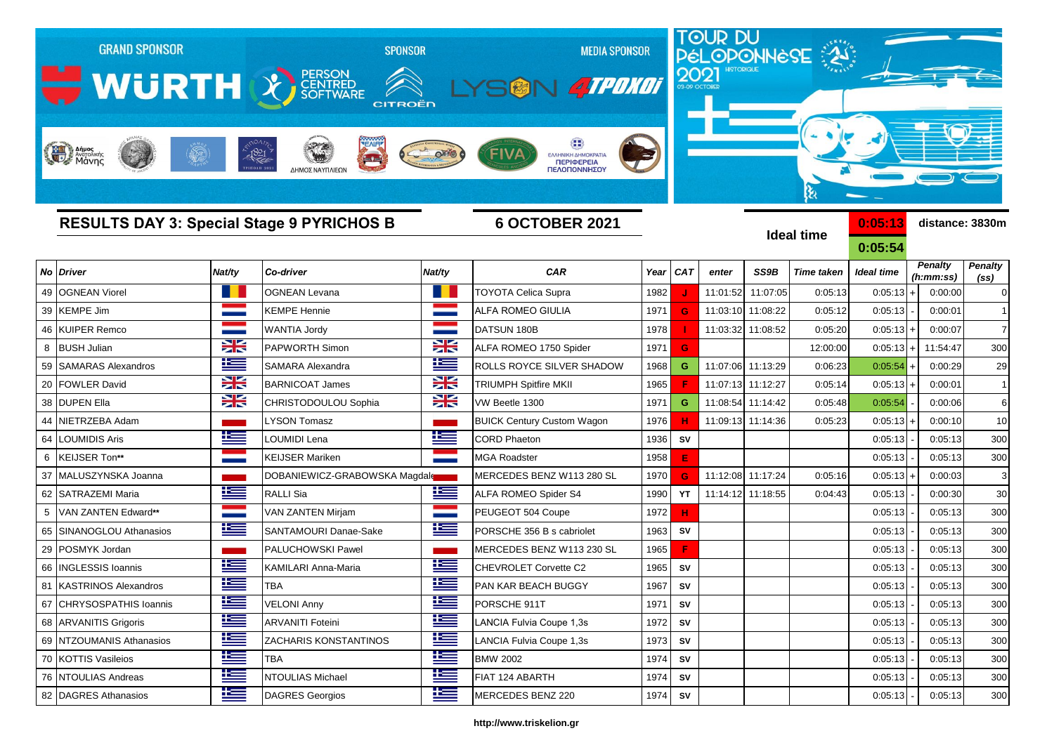| <b>GRAND SPONSOR</b><br>WURTH & ERROR<br>Anipos |                 | 1821<br>للمراك<br>ΔΗΜΟΣ ΝΑΥΠΛΙΕΩΝ                | <b>SPONSOR</b><br>CITROËN | <b>MEDIA SPONSOR</b><br><b>ATPONOT</b><br>ΕΛΛΗΝΙΚΗ ΔΗΜΟΚΡΑΤΙΑ<br>ΠΕΡΙΦΕΡΕΙΑ<br>ΠΕΛΟΠΟΝΝΗΣΟΥ |         |            |          |                   | TOUR DU<br>PÉLOPONNESE<br>કે |                    |                             |                                     |
|-------------------------------------------------|-----------------|--------------------------------------------------|---------------------------|---------------------------------------------------------------------------------------------|---------|------------|----------|-------------------|------------------------------|--------------------|-----------------------------|-------------------------------------|
|                                                 |                 | <b>RESULTS DAY 3: Special Stage 9 PYRICHOS B</b> |                           | <b>6 OCTOBER 2021</b>                                                                       |         |            |          |                   | <b>Ideal time</b>            | 0:05:13<br>0:05:54 | distance: 3830m             |                                     |
| No Driver                                       | Nat/ty          | Co-driver                                        | Nat/ty                    | <b>CAR</b>                                                                                  | Year    | <b>CAT</b> | enter    | SS9B              | <b>Time taken</b>            | <b>Ideal time</b>  | <b>Penalty</b><br>(h:mm:ss) | <b>Penalty</b><br>(s <sub>s</sub> ) |
| <b>OGNEAN Viorel</b><br>49                      | . .             | OGNEAN Levana                                    |                           | <b>TOYOTA Celica Supra</b>                                                                  | 1982    |            | 11:01:52 | 11:07:05          | 0:05:13                      | 0:05:13            | 0:00:00                     | $\overline{0}$                      |
| 39 KEMPE Jim                                    |                 | <b>KEMPE Hennie</b>                              |                           | ALFA ROMEO GIULIA                                                                           | 1971    | G          | 11:03:10 | 11:08:22          | 0:05:12                      | 0:05:13            | 0:00:01                     |                                     |
| 46 KUIPER Remco                                 |                 | <b>WANTIA Jordy</b>                              |                           | DATSUN 180B                                                                                 | 1978    |            | 11:03:32 | 11:08:52          | 0:05:20                      | 0:05:13            | 0:00:07                     | $\overline{7}$                      |
| <b>BUSH Julian</b><br>8                         | ≍               | PAPWORTH Simon                                   | X                         | ALFA ROMEO 1750 Spider                                                                      | 1971    | G          |          |                   | 12:00:00                     | $0:05:13$ +        | 11:54:47                    | 300                                 |
| <b>SAMARAS Alexandros</b><br>59                 | $\pm$           | SAMARA Alexandra                                 | E                         | ROLLS ROYCE SILVER SHADOW                                                                   | 1968    | G          |          | 11:07:06 11:13:29 | 0:06:23                      | 0:05:54            | 0:00:29                     | 29                                  |
| 20 FOWLER David                                 | ≍               | <b>BARNICOAT James</b>                           | X                         | <b>TRIUMPH Spitfire MKII</b>                                                                | 1965    |            |          | 11:07:13 11:12:27 | 0:05:14                      | 0:05:13            | 0:00:01                     | $\overline{1}$                      |
| 38 DUPEN Ella                                   | X               | CHRISTODOULOU Sophia                             | X                         | VW Beetle 1300                                                                              | 1971    | G          |          | 11:08:54 11:14:42 | 0:05:48                      | 0:05:54            | 0:00:06                     | 6                                   |
| 44 NIETRZEBA Adam                               |                 | LYSON Tomasz                                     |                           | <b>BUICK Century Custom Wagon</b>                                                           | 1976    | н          |          | 11:09:13 11:14:36 | 0:05:23                      | $0:05:13$ +        | 0:00:10                     | 10                                  |
| 64 LOUMIDIS Aris                                | <u>ik a</u>     | OUMIDI Lena                                      | Ħ                         | <b>CORD Phaeton</b>                                                                         | 1936    | SV         |          |                   |                              | 0:05:13            | 0:05:13                     | 300                                 |
| <b>KEIJSER Ton**</b><br>6                       |                 | <b>KEIJSER Mariken</b>                           |                           | <b>MGA Roadster</b>                                                                         | 1958    | E          |          |                   |                              | 0:05:13            | 0:05:13                     | 300                                 |
| MALUSZYNSKA Joanna<br>37                        |                 | DOBANIEWICZ-GRABOWSKA Magdale                    |                           | MERCEDES BENZ W113 280 SL                                                                   | 1970    | G          |          | 11:12:08 11:17:24 | 0:05:16                      | 0:05:13            | 0:00:03                     | 3                                   |
| SATRAZEMI Maria<br>62                           | ١Ξ              | RALLI Sia                                        | <u>is</u>                 | ALFA ROMEO Spider S4                                                                        | 1990    | YT         |          | 11:14:12 11:18:55 | 0:04:43                      | 0:05:13            | 0:00:30                     | 30                                  |
| VAN ZANTEN Edward**<br>5                        | <b>Contract</b> | VAN ZANTEN Mirjam                                |                           | PEUGEOT 504 Coupe                                                                           | 1972    | H.         |          |                   |                              | 0:05:13            | 0:05:13                     | 300                                 |
| SINANOGLOU Athanasios<br>65                     | <u>ik –</u>     | SANTAMOURI Danae-Sake                            | 些                         | PORSCHE 356 B s cabriolet                                                                   | 1963    | SV         |          |                   |                              | 0:05:13            | 0:05:13                     | 300                                 |
| 29 POSMYK Jordan                                |                 | PALUCHOWSKI Pawel                                |                           | MERCEDES BENZ W113 230 SL                                                                   | 1965    | F          |          |                   |                              | 0:05:13            | 0:05:13                     | 300                                 |
| <b>INGLESSIS Ioannis</b><br>66                  | <u>ik –</u>     | KAMILARI Anna-Maria                              | <u>ik a</u>               | CHEVROLET Corvette C2                                                                       | 1965    | SV         |          |                   |                              | 0:05:13            | 0:05:13                     | 300                                 |
| 81 KASTRINOS Alexandros                         | Ť               | <b>TBA</b>                                       | Ŧ                         | PAN KAR BEACH BUGGY                                                                         | 1967    | ${\sf SV}$ |          |                   |                              | 0:05:13            | 0:05:13                     | 300                                 |
| 67 CHRYSOSPATHIS Ioannis                        | N               | <b>VELONI Anny</b>                               | N                         | PORSCHE 911T                                                                                | 1971    | SV         |          |                   |                              | 0:05:13            | 0:05:13                     | 300                                 |
| 68 ARVANITIS Grigoris                           | Ħ               | <b>ARVANITI Foteini</b>                          | N                         | LANCIA Fulvia Coupe 1,3s                                                                    | 1972    | <b>SV</b>  |          |                   |                              | 0:05:13            | 0:05:13                     | 300                                 |
| 69 NTZOUMANIS Athanasios                        | Ħ               | <b>ZACHARIS KONSTANTINOS</b>                     | ١Œ                        | LANCIA Fulvia Coupe 1,3s                                                                    | 1973    | SV         |          |                   |                              | 0:05:13            | 0:05:13                     | 300                                 |
| 70 KOTTIS Vasileios                             | ١Œ              | <b>TBA</b>                                       | ١Œ                        | <b>BMW 2002</b>                                                                             | 1974    | SV         |          |                   |                              | 0:05:13            | 0:05:13                     | 300                                 |
| 76 NTOULIAS Andreas                             | Ħ               | NTOULIAS Michael                                 | İ                         | FIAT 124 ABARTH                                                                             | 1974 SV |            |          |                   |                              | 0:05:13            | 0:05:13                     | 300                                 |

## **http://www.triskelion.gr**

82 DAGRES Athanasios **DAGRES Georgios DAGRES Georgios** MERCEDES BENZ 220 1974 **SV** 1974 **SV** 0:05:13 0:05:13 300